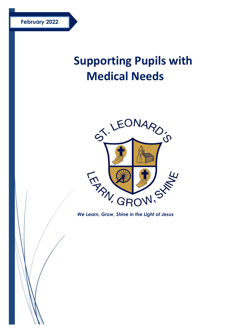# **Supporting Pupils with Medical Needs**



*We Learn, Grow, Shine in the Light of Jesus*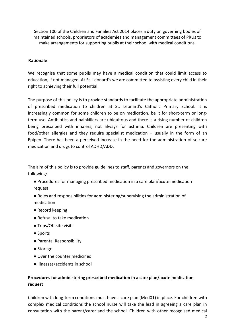Section 100 of the Children and Families Act 2014 places a duty on governing bodies of maintained schools, proprietors of academies and management committees of PRUs to make arrangements for supporting pupils at their school with medical conditions.

#### **Rationale**

We recognise that some pupils may have a medical condition that could limit access to education, if not managed. At St. Leonard's we are committed to assisting every child in their right to achieving their full potential.

The purpose of this policy is to provide standards to facilitate the appropriate administration of prescribed medication to children at St. Leonard's Catholic Primary School. It is increasingly common for some children to be on medication, be it for short-term or longterm use. Antibiotics and painkillers are ubiquitous and there is a rising number of children being prescribed with inhalers, not always for asthma. Children are presenting with food/other allergies and they require specialist medication – usually in the form of an Epipen. There has been a perceived increase in the need for the administration of seizure medication and drugs to control ADHD/ADD.

The aim of this policy is to provide guidelines to staff, parents and governors on the following:

- Procedures for managing prescribed medication in a care plan/acute medication request
- Roles and responsibilities for administering/supervising the administration of medication
- Record keeping
- Refusal to take medication
- Trips/Off site visits
- Sports
- Parental Responsibility
- Storage
- Over the counter medicines
- Illnesses/accidents in school

## **Procedures for administering prescribed medication in a care plan/acute medication request**

Children with long-term conditions must have a care plan (Med01) in place. For children with complex medical conditions the school nurse will take the lead in agreeing a care plan in consultation with the parent/carer and the school. Children with other recognised medical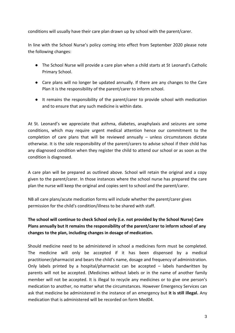conditions will usually have their care plan drawn up by school with the parent/carer.

In line with the School Nurse's policy coming into effect from September 2020 please note the following changes:

- The School Nurse will provide a care plan when a child starts at St Leonard's Catholic Primary School.
- Care plans will no longer be updated annually. If there are any changes to the Care Plan it is the responsibility of the parent/carer to inform school.
- It remains the responsibility of the parent/carer to provide school with medication and to ensure that any such medicine is within date.

At St. Leonard's we appreciate that asthma, diabetes, anaphylaxis and seizures are some conditions, which may require urgent medical attention hence our commitment to the completion of care plans that will be reviewed annually  $-$  unless circumstances dictate otherwise. It is the sole responsibility of the parent/carers to advise school if their child has any diagnosed condition when they register the child to attend our school or as soon as the condition is diagnosed.

A care plan will be prepared as outlined above. School will retain the original and a copy given to the parent/carer. In those instances where the school nurse has prepared the care plan the nurse will keep the original and copies sent to school and the parent/carer.

NB all care plans/acute medication forms will include whether the parent/carer gives permission for the child's condition/illness to be shared with staff.

# **The school will continue to check School only (i.e. not provided by the School Nurse) Care Plans annually but It remains the responsibility of the parent/carer to inform school of any changes to the plan, including changes in dosage of medication.**

Should medicine need to be administered in school a medicines form must be completed. The medicine will only be accepted if it has been dispensed by a medical practitioner/pharmacist and bears the child's name, dosage and frequency of administration. Only labels printed by a hospital/pharmacist can be accepted – labels handwritten by parents will not be accepted. (Medicines without labels or in the name of another family member will not be accepted. It is illegal to recycle any medicines or to give one person's medication to another, no matter what the circumstances. However Emergency Services can ask that medicine be administered in the instance of an emergency but **it is still illegal.** Any medication that is administered will be recorded on form Med04.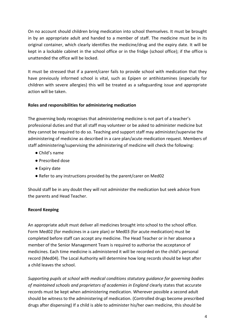On no account should children bring medication into school themselves. It must be brought in by an appropriate adult and handed to a member of staff. The medicine must be in its original container, which clearly identifies the medicine/drug and the expiry date. It will be kept in a lockable cabinet in the school office or in the fridge (school office); if the office is unattended the office will be locked.

It must be stressed that if a parent/carer fails to provide school with medication that they have previously informed school is vital, such as Epipen or antihistamines (especially for children with severe allergies) this will be treated as a safeguarding issue and appropriate action will be taken.

## **Roles and responsibilities for administering medication**

The governing body recognises that administering medicine is not part of a teacher's professional duties and that all staff may volunteer or be asked to administer medicine but they cannot be required to do so. Teaching and support staff may administer/supervise the administering of medicine as described in a care plan/acute medication request. Members of staff administering/supervising the administering of medicine will check the following:

- Child's name
- Prescribed dose
- Expiry date
- Refer to any instructions provided by the parent/carer on Med02

Should staff be in any doubt they will not administer the medication but seek advice from the parents and Head Teacher.

## **Record Keeping**

An appropriate adult must deliver all medicines brought into school to the school office. Form Med02 (for medicines in a care plan) or Med03 (for acute medication) must be completed before staff can accept any medicine. The Head Teacher or in her absence a member of the Senior Management Team is required to authorise the acceptance of medicines. Each time medicine is administered it will be recorded on the child's personal record (Med04). The Local Authority will determine how long records should be kept after a child leaves the school.

*Supporting pupils at school with medical conditions statutory guidance for governing bodies of maintained schools and proprietors of academies in England* clearly states that accurate records must be kept when administering medication. Wherever possible a second adult should be witness to the administering of medication. (Controlled drugs become prescribed drugs after dispensing) If a child is able to administer his/her own medicine, this should be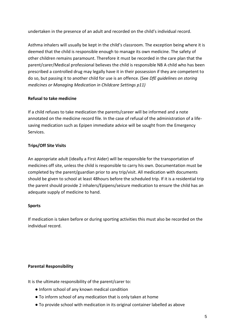undertaken in the presence of an adult and recorded on the child's individual record.

Asthma inhalers will usually be kept in the child's classroom. The exception being where it is deemed that the child is responsible enough to manage its own medicine. The safety of other children remains paramount. Therefore it must be recorded in the care plan that the parent/carer/Medical professional believes the child is responsible NB A child who has been prescribed a controlled drug may legally have it in their possession if they are competent to do so, but passing it to another child for use is an offence. (See *DfE guidelines on storing medicines or Managing Medication in Childcare Settings p11)* 

## **Refusal to take medicine**

If a child refuses to take medication the parents/career will be informed and a note annotated on the medicine record file. In the case of refusal of the administration of a lifesaving medication such as Epipen immediate advice will be sought from the Emergency Services.

## **Trips/Off Site Visits**

An appropriate adult (ideally a First Aider) will be responsible for the transportation of medicines off site, unless the child is responsible to carry his own. Documentation must be completed by the parent/guardian prior to any trip/visit. All medication with documents should be given to school at least 48hours before the scheduled trip. If it is a residential trip the parent should provide 2 inhalers/Epipens/seizure medication to ensure the child has an adequate supply of medicine to hand.

## **Sports**

If medication is taken before or during sporting activities this must also be recorded on the individual record.

## **Parental Responsibility**

It is the ultimate responsibility of the parent/carer to:

- Inform school of any known medical condition
- To inform school of any medication that is only taken at home
- To provide school with medication in its original container labelled as above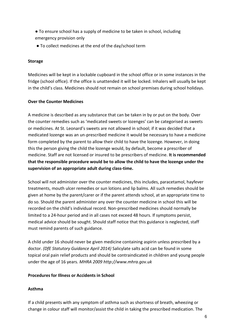- To ensure school has a supply of medicine to be taken in school, including emergency provision only
- To collect medicines at the end of the day/school term

## **Storage**

Medicines will be kept in a lockable cupboard in the school office or in some instances in the fridge (school office). If the office is unattended it will be locked. Inhalers will usually be kept in the child's class. Medicines should not remain on school premises during school holidays.

## **Over the Counter Medicines**

A medicine is described as any substance that can be taken in by or put on the body. Over the counter remedies such as 'medicated sweets or lozenges' can be categorised as sweets or medicines. At St. Leonard's sweets are not allowed in school; if it was decided that a medicated lozenge was an un-prescribed medicine it would be necessary to have a medicine form completed by the parent to allow their child to have the lozenge. However, in doing this the person giving the child the lozenge would, by default, become a prescriber of medicine. Staff are not licensed or insured to be prescribers of medicine. **It is recommended that the responsible procedure would be to allow the child to have the lozenge under the supervision of an appropriate adult during class-time.** 

School will not administer over the counter medicines, this includes, paracetamol, hayfever treatments, mouth ulcer remedies or sun lotions and lip balms. All such remedies should be given at home by the parent/carer or if the parent attends school, at an appropriate time to do so. Should the parent administer any over the counter medicine in school this will be recorded on the child's individual record. Non-prescribed medicines should normally be limited to a 24-hour period and in all cases not exceed 48 hours. If symptoms persist, medical advice should be sought. Should staff notice that this guidance is neglected, staff must remind parents of such guidance.

A child under 16 should never be given medicine containing aspirin unless prescribed by a doctor. *(DfE Statutory Guidance April 2014)* Salicylate salts acid can be found in some topical oral pain relief products and should be contraindicated in children and young people under the age of 16 years. *MHRA 2009 http://www.mhra.gov.uk* 

## **Procedures for Illness or Accidents in School**

## **Asthma**

If a child presents with any symptom of asthma such as shortness of breath, wheezing or change in colour staff will monitor/assist the child in taking the prescribed medication. The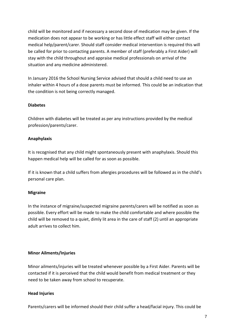child will be monitored and if necessary a second dose of medication may be given. If the medication does not appear to be working or has little effect staff will either contact medical help/parent/carer. Should staff consider medical intervention is required this will be called for prior to contacting parents. A member of staff (preferably a First Aider) will stay with the child throughout and appraise medical professionals on arrival of the situation and any medicine administered.

In January 2016 the School Nursing Service advised that should a child need to use an inhaler within 4 hours of a dose parents must be informed. This could be an indication that the condition is not being correctly managed.

## **Diabetes**

Children with diabetes will be treated as per any instructions provided by the medical profession/parents/carer.

## **Anaphylaxis**

It is recognised that any child might spontaneously present with anaphylaxis. Should this happen medical help will be called for as soon as possible.

If it is known that a child suffers from allergies procedures will be followed as in the child's personal care plan.

## **Migraine**

In the instance of migraine/suspected migraine parents/carers will be notified as soon as possible. Every effort will be made to make the child comfortable and where possible the child will be removed to a quiet, dimly lit area in the care of staff (2) until an appropriate adult arrives to collect him.

## **Minor Ailments/Injuries**

Minor ailments/injuries will be treated whenever possible by a First Aider. Parents will be contacted if it is perceived that the child would benefit from medical treatment or they need to be taken away from school to recuperate.

## **Head Injuries**

Parents/carers will be informed should their child suffer a head/facial injury. This could be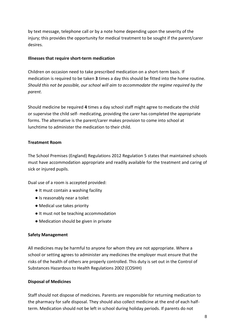by text message, telephone call or by a note home depending upon the severity of the injury; this provides the opportunity for medical treatment to be sought if the parent/carer desires.

#### **Illnesses that require short-term medication**

Children on occasion need to take prescribed medication on a short-term basis. If medication is required to be taken **3** times a day this should be fitted into the home routine. *Should this not be possible, our school will aim to accommodate the regime required by the parent*.

Should medicine be required **4** times a day school staff might agree to medicate the child or supervise the child self- medicating, providing the carer has completed the appropriate forms. The alternative is the parent/carer makes provision to come into school at lunchtime to administer the medication to their child.

## **Treatment Room**

The School Premises (England) Regulations 2012 Regulation 5 states that maintained schools must have accommodation appropriate and readily available for the treatment and caring of sick or injured pupils.

Dual use of a room is accepted provided:

- It must contain a washing facility
- Is reasonably near a toilet
- Medical use takes priority
- It must not be teaching accommodation
- Medication should be given in private

## **Safety Management**

All medicines may be harmful to anyone for whom they are not appropriate. Where a school or setting agrees to administer any medicines the employer must ensure that the risks of the health of others are properly controlled. This duty is set out in the Control of Substances Hazardous to Health Regulations 2002 (COSHH)

## **Disposal of Medicines**

Staff should not dispose of medicines. Parents are responsible for returning medication to the pharmacy for safe disposal. They should also collect medicine at the end of each halfterm. Medication should not be left in school during holiday periods. If parents do not